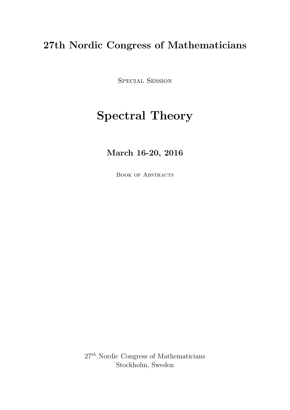# 27th Nordic Congress of Mathematicians

SPECIAL SESSION

# Spectral Theory

# March 16-20, 2016

BOOK OF ABSTRACTS

 $27<sup>th</sup>$  Nordic Congress of Mathematicians Stockholm, Sweden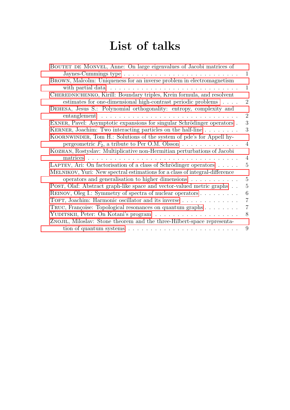# List of talks

| BOUTET DE MONVEL, Anne: On large eigenvalues of Jacobi matrices of                       |                |
|------------------------------------------------------------------------------------------|----------------|
| Jaynes-Cummings type $\dots \dots \dots \dots \dots \dots \dots \dots \dots \dots \dots$ | 1              |
| BROWN, Malcolm: Uniqueness for an inverse problem in electromagnetism                    |                |
|                                                                                          | 1              |
| CHEREDNICHENKO, Kirill: Boundary triples, Krein formula, and resolvent                   |                |
| estimates for one-dimensional high-contrast periodic problems                            | $\overline{2}$ |
| DEHESA, Jesus S.: Polynomial orthogonality: entropy, complexity and                      |                |
| entanglement $\ldots \ldots \ldots \ldots \ldots \ldots \ldots$                          | $\overline{2}$ |
| EXNER, Pavel: Asymptotic expansions for singular Schrödinger operators.                  | 3              |
| KERNER, Joachim: Two interacting particles on the half-line                              | 3              |
| KOORNWINDER, Tom H.: Solutions of the system of pde's for Appell hy-                     |                |
| pergeometric $F_2$ , a tribute to Per O.M. Olsson                                        | 4              |
| KOZHAN, Rostyslav: Multiplicative non-Hermitian perturbations of Jacobi                  |                |
| matrices<br>.                                                                            | $\overline{4}$ |
| LAPTEV, Ari: On factorisation of a class of Schrödinger operators                        | 5              |
| MELNIKOV, Yuri: New spectral estimations for a class of integral-difference              |                |
| operators and generalisation to higher dimensions                                        | 5              |
| POST, Olaf: Abstract graph-like space and vector-valued metric graphs                    | $\overline{5}$ |
| REINOV, Oleg I.: Symmetry of spectra of nuclear operators                                | 6              |
| TOFT, Joachim: Harmonic oscillator and its inverse                                       | $\overline{7}$ |
| TRUC, Françoise: Topological resonances on quantum graphs                                | $\overline{7}$ |
|                                                                                          | 8              |
| ZNOJIL, Miloslav: Stone theorem and the three-Hilbert-space representa-                  |                |
| tion of quantum systems $\ldots \ldots \ldots \ldots \ldots \ldots \ldots \ldots$        | 9              |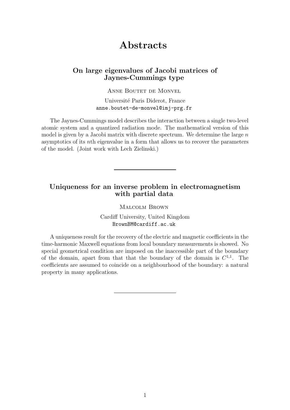# Abstracts

## <span id="page-2-0"></span>On large eigenvalues of Jacobi matrices of Jaynes-Cummings type

ANNE BOUTET DE MONVEL

Université Paris Diderot, France anne.boutet-de-monvel@imj-prg.fr

The Jaynes-Cummings model describes the interaction between a single two-level atomic system and a quantized radiation mode. The mathematical version of this model is given by a Jacobi matrix with discrete spectrum. We determine the large  $n$ asymptotics of its nth eigenvalue in a form that allows us to recover the parameters of the model. (Joint work with Lech Zielinski.)

#### <span id="page-2-1"></span>Uniqueness for an inverse problem in electromagnetism with partial data

Malcolm Brown

Cardiff University, United Kingdom BrownBM@cardiff.ac.uk

A uniqueness result for the recovery of the electric and magnetic coefficients in the time-harmonic Maxwell equations from local boundary measurements is showed. No special geometrical condition are imposed on the inaccessible part of the boundary of the domain, apart from that that the boundary of the domain is  $C^{1,1}$ . The coefficients are assumed to coincide on a neighbourhood of the boundary: a natural property in many applications.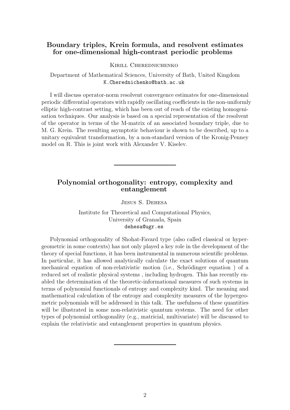### <span id="page-3-0"></span>Boundary triples, Krein formula, and resolvent estimates for one-dimensional high-contrast periodic problems

Kirill Cherednichenko

Department of Mathematical Sciences, University of Bath, United Kingdom K.Cherednichenko@bath.ac.uk

I will discuss operator-norm resolvent convergence estimates for one-dimensional periodic differential operators with rapidly oscillating coefficients in the non-uniformly elliptic high-contrast setting, which has been out of reach of the existing homogenisation techniques. Our analysis is based on a special representation of the resolvent of the operator in terms of the M-matrix of an associated boundary triple, due to M. G. Krein. The resulting asymptotic behaviour is shown to be described, up to a unitary equivalent transformation, by a non-standard version of the Kronig-Penney model on R. This is joint work with Alexander V. Kiselev.

# <span id="page-3-1"></span>Polynomial orthogonality: entropy, complexity and entanglement

Jesus S. Dehesa

Institute for Theoretical and Computational Physics, University of Granada, Spain dehesa@ugr.es

Polynomial orthogonality of Shohat-Favard type (also called classical or hypergeometric in some contexts) has not only played a key role in the development of the theory of special functions, it has been instrumental in numerous scientific problems. In particular, it has allowed analytically calculate the exact solutions of quantum mechanical equation of non-relativistic motion (i.e., Schrödinger equation) of a reduced set of realistic physical systems , including hydrogen. This has recently enabled the determination of the theoretic-informational measures of such systems in terms of polynomial functionals of entropy and complexity kind. The meaning and mathematical calculation of the entropy and complexity measures of the hypergeometric polynomials will be addressed in this talk. The usefulness of these quantities will be illustrated in some non-relativistic quantum systems. The need for other types of polynomial orthogonality (e.g., matricial, multivariate) will be discussed to explain the relativistic and entanglement properties in quantum physics.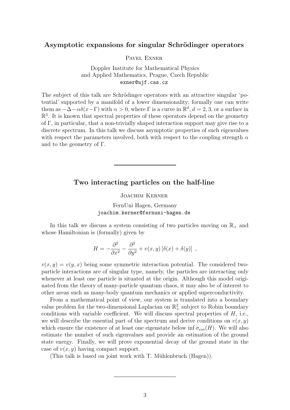#### <span id="page-4-0"></span>Asymptotic expansions for singular Schrödinger operators

Pavel Exner

Doppler Institute for Mathematical Physics and Applied Mathematics, Prague, Czech Republic exner@ujf.cas.cz

The subject of this talk are Schrödinger operators with an attractive singular 'potential' supported by a manifold of a lower dimensionality; formally one can write them as  $-\Delta - \alpha \delta(x-\Gamma)$  with  $\alpha > 0$ , where  $\Gamma$  is a curve in  $\mathbb{R}^d$ ,  $d = 2, 3$ , or a surface in  $\mathbb{R}^3$ . It is known that spectral properties of these operators depend on the geometry of Γ, in particular, that a non-trivially shaped interaction support may give rise to a discrete spectrum. In this talk we discuss asymptotic properties of such eigenvalues with respect the parameters involved, both with respect to the coupling strength  $\alpha$ and to the geometry of Γ.

#### <span id="page-4-1"></span>Two interacting particles on the half-line

Joachim Kerner

FernUni Hagen, Germany joachim.kerner@fernuni-hagen.de

In this talk we discuss a system consisting of two particles moving on  $\mathbb{R}_+$  and whose Hamiltonian is (formally) given by

$$
H = -\frac{\partial^2}{\partial x^2} - \frac{\partial^2}{\partial y^2} + v(x, y) \left[ \delta(x) + \delta(y) \right] ,
$$

 $v(x, y) = v(y, x)$  being some symmetric interaction potential. The considered twoparticle interactions are of singular type, namely, the particles are interacting only whenever at least one particle is situated at the origin. Although this model originated from the theory of many-particle quantum chaos, it may also be of interest to other areas such as many-body quantum mechanics or applied superconductivity.

From a mathematical point of view, our system is translated into a boundary value problem for the two-dimensional Laplacian on  $\mathbb{R}^2$ , subject to Robin boundary conditions with variable coefficient. We will discuss spectral properties of  $H$ , i.e., we will describe the essential part of the spectrum and derive conditions on  $v(x, y)$ which ensure the existence of at least one eigenstate below inf  $\sigma_{ess}(H)$ . We will also estimate the number of such eigenvalues and provide an estimation of the ground state energy. Finally, we will prove exponential decay of the ground state in the case of  $v(x, y)$  having compact support.

(This talk is based on joint work with  $T$ . Mühlenbruch (Hagen)).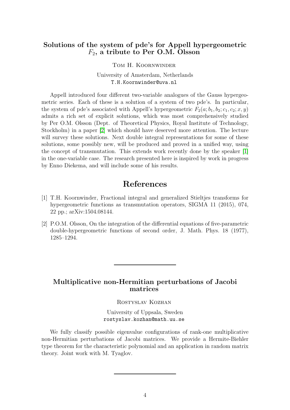### <span id="page-5-0"></span>Solutions of the system of pde's for Appell hypergeometric  $F_2$ , a tribute to Per O.M. Olsson

Tom H. Koornwinder

University of Amsterdam, Netherlands T.H.Koornwinder@uva.nl

Appell introduced four different two-variable analogues of the Gauss hypergeometric series. Each of these is a solution of a system of two pde's. In particular, the system of pde's associated with Appell's hypergeometric  $F_2(a; b_1, b_2; c_1, c_2; x, y)$ admits a rich set of explicit solutions, which was most comprehensively studied by Per O.M. Olsson (Dept. of Theoretical Physics, Royal Institute of Technology, Stockholm) in a paper [\[2\]](#page-5-2) which should have deserved more attention. The lecture will survey these solutions. Next double integral representations for some of these solutions, some possibly new, will be produced and proved in a unified way, using the concept of transmutation. This extends work recently done by the speaker [\[1\]](#page-5-3) in the one-variable case. The research presented here is inspired by work in progress by Enno Diekema, and will include some of his results.

# References

- <span id="page-5-3"></span>[1] T.H. Koornwinder, Fractional integral and generalized Stieltjes transforms for hypergeometric functions as transmutation operators, SIGMA 11 (2015), 074, 22 pp.; arXiv:1504.08144.
- <span id="page-5-2"></span>[2] P.O.M. Olsson, On the integration of the differential equations of five-parametric double-hypergeometric functions of second order, J. Math. Phys. 18 (1977), 1285–1294.

# <span id="page-5-1"></span>Multiplicative non-Hermitian perturbations of Jacobi matrices

Rostyslav Kozhan

University of Uppsala, Sweden rostyslav.kozhan@math.uu.se

We fully classify possible eigenvalue configurations of rank-one multiplicative non-Hermitian perturbations of Jacobi matrices. We provide a Hermite-Biehler type theorem for the characteristic polynomial and an application in random matrix theory. Joint work with M. Tyaglov.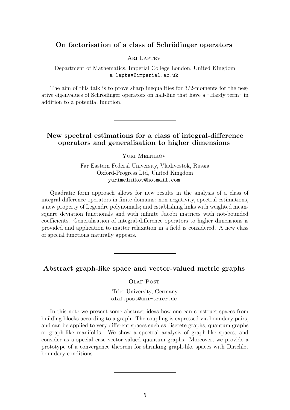## <span id="page-6-0"></span>On factorisation of a class of Schrödinger operators

ARI LAPTEV

Department of Mathematics, Imperial College London, United Kingdom a.laptev@imperial.ac.uk

The aim of this talk is to prove sharp inequalities for  $3/2$ -moments for the negative eigenvalues of Schrödinger operators on half-line that have a "Hardy term" in addition to a potential function.

# <span id="page-6-1"></span>New spectral estimations for a class of integral-difference operators and generalisation to higher dimensions

Yuri Melnikov

Far Eastern Federal University, Vladivostok, Russia Oxford-Progress Ltd, United Kingdom yurimelnikov@hotmail.com

Quadratic form approach allows for new results in the analysis of a class of integral-difference operators in finite domains: non-negativity, spectral estimations, a new property of Legendre polynomials; and establishing links with weighted meansquare deviation functionals and with infinite Jacobi matrices with not-bounded coefficients. Generalisation of integral-difference operators to higher dimensions is provided and application to matter relaxation in a field is considered. A new class of special functions naturally appears.

<span id="page-6-2"></span>Abstract graph-like space and vector-valued metric graphs

OLAF POST

Trier University, Germany olaf.post@uni-trier.de

In this note we present some abstract ideas how one can construct spaces from building blocks according to a graph. The coupling is expressed via boundary pairs, and can be applied to very different spaces such as discrete graphs, quantum graphs or graph-like manifolds. We show a spectral analysis of graph-like spaces, and consider as a special case vector-valued quantum graphs. Moreover, we provide a prototype of a convergence theorem for shrinking graph-like spaces with Dirichlet boundary conditions.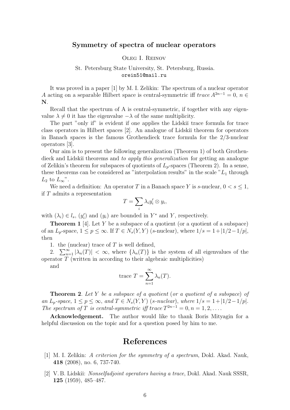#### <span id="page-7-0"></span>Symmetry of spectra of nuclear operators

#### Oleg I. Reinov

#### St. Petersburg State University, St. Petersburg, Russia. orein51@mail.ru

It was proved in a paper [1] by M. I. Zelikin: The spectrum of a nuclear operator A acting on a separable Hilbert space is central-symmetric iff  $trace A^{2n-1} = 0$ ,  $n \in$ N.

Recall that the spectrum of A is central-symmetric, if together with any eigenvalue  $\lambda \neq 0$  it has the eigenvalue  $-\lambda$  of the same multiplicity.

The part "only if" is evident if one applies the Lidski<sub>I</sub> trace formula for trace class operators in Hilbert spaces [2]. An analogue of Lidskiˇı theorem for operators in Banach spaces is the famous Grothendieck trace formula for the 2/3-nuclear operators [3].

Our aim is to present the following generalization (Theorem 1) of both Grothendieck and Lidskiı̆ theorems and to apply this generalization for getting an analogue of Zelikin's theorem for subspaces of quotients of  $L_p$ -spaces (Theorem 2). In a sense, these theorems can be considered as "interpolation results" in the scale  $L_1$  through  $L_2$  to  $L_{\infty}$ ".

We need a definition: An operator T in a Banach space Y is s-nuclear,  $0 < s \leq 1$ , if T admits a representation

$$
T=\sum_i \lambda_i y_i'\otimes y_i,
$$

with  $(\lambda_i) \in l_s$ ,  $(y'_i)$  and  $(y_i)$  are bounded in  $Y^*$  and Y, respectively.

**Theorem 1** [4]. Let Y be a subspace of a quotient (or a quotient of a subspace) of an  $L_p$ -space,  $1 \le p \le \infty$ . If  $T \in N_s(Y, Y)$  (s-nuclear), where  $1/s = 1+|1/2-1/p|$ , then

1. the (nuclear) trace of  $T$  is well defined,

2.  $\sum_{n=1}^{\infty} |\lambda_n(T)| < \infty$ , where  $\{\lambda_n(T)\}\$ is the system of all eigenvalues of the operator  $\tilde{T}$  (written in according to their algebraic multiplicities)

and

trace 
$$
T = \sum_{n=1}^{\infty} \lambda_n(T)
$$
.

**Theorem 2.** Let Y be a subspace of a quotient (or a quotient of a subspace) of an  $L_p$ -space,  $1 \le p \le \infty$ , and  $T \in N_s(Y, Y)$  (s-nuclear), where  $1/s = 1+|1/2-1/p|$ . The spectrum of T is central-symmetric iff trace  $T^{2n-1} = 0, n = 1, 2, \ldots$ .

Acknowledgement. The author would like to thank Boris Mityagin for a helpful discussion on the topic and for a question posed by him to me.

# References

- [1] M. I. Zelikin: A criterion for the symmetry of a spectrum, Dokl. Akad. Nauk, 418 (2008), no. 6, 737-740.
- [2] V. B. Lidskii: *Nonselfadjoint operators having a trace*, Dokl. Akad. Nauk SSSR, 125 (1959), 485–487.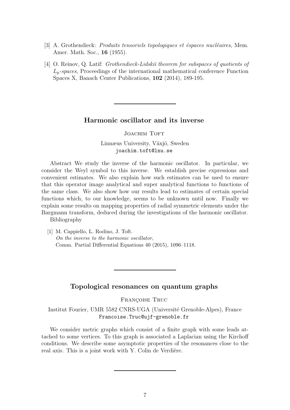- [3] A. Grothendieck: *Produits tensoriels topologiques et éspaces nucléaires*, Mem. Amer. Math. Soc., 16 (1955).
- [4] O. Reinov, Q. Latif: *Grothendieck-Lidski theorem for subspaces of quotients of*  $L_p$ -spaces, Proceedings of the international mathematical conference Function Spaces X, Banach Center Publications, 102 (2014), 189-195.

#### <span id="page-8-0"></span>Harmonic oscillator and its inverse

**JOACHIM TOFT** 

Linnæus University, Växjö, Sweden joachim.toft@lnu.se

Abstract We study the inverse of the harmonic oscillator. In particular, we consider the Weyl symbol to this inverse. We establish precise expressions and convenient estimates. We also explain how such estimates can be used to ensure that this operator image analytical and super analytical functions to functions of the same class. We also show how our results lead to estimates of certain special functions which, to our knowledge, seems to be unknown until now. Finally we explain some results on mapping properties of radial symmetric elements under the Bargmann transform, deduced during the investigations of the harmonic oscillator.

Bibliography

[1] M. Cappiello, L. Rodino, J. Toft. On the inverse to the harmonic oscillator, Comm. Partial Differential Equations 40 (2015), 1096–1118.

#### Topological resonances on quantum graphs

FRANÇOISE TRUC

<span id="page-8-1"></span>Institut Fourier, UMR 5582 CNRS-UGA (Université Grenoble-Alpes), France Francoise.Truc@ujf-grenoble.fr

We consider metric graphs which consist of a finite graph with some leads attached to some vertices. To this graph is associated a Laplacian using the Kirchoff conditions. We describe some asymptotic properties of the resonances close to the real axis. This is a joint work with Y. Colin de Verdière.